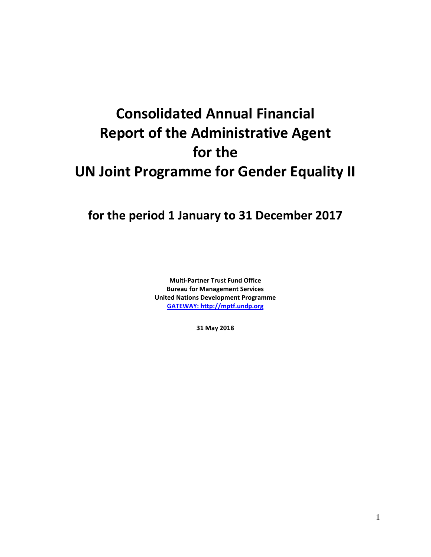# **Consolidated Annual Financial Report of the Administrative Agent for the UN Joint Programme for Gender Equality II**

## **for the period 1 January to 31 December 2017**

**Multi-Partner Trust Fund Office Bureau for Management Services United Nations Development Programme [GATEWAY: http://mptf.undp.org](http://mptf.undp.org/)**

**31 May 2018**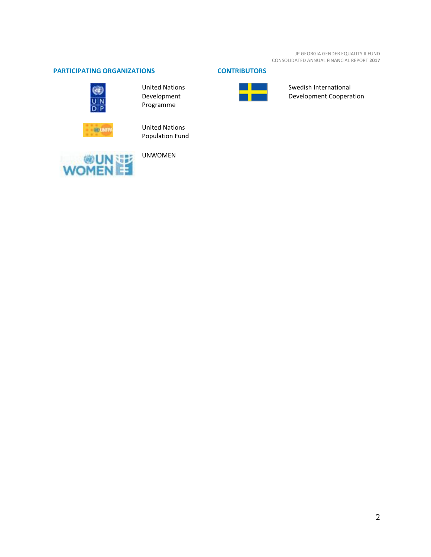JP GEORGIA GENDER EQUALITY II FUND CONSOLIDATED ANNUAL FINANCIAL REPORT **2017**

### **PARTICIPATING ORGANIZATIONS CONTRIBUTORS**



United Nations Development Programme



United Nations Population Fund



UNWOMEN



Swedish International Development Cooperation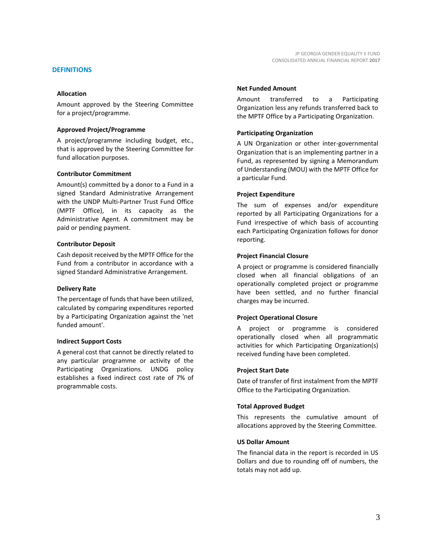#### **DEFINITIONS**

#### **Allocation**

Amount approved by the Steering Committee for a project/programme.

#### **Approved Project/Programme**

A project/programme including budget, etc., that is approved by the Steering Committee for fund allocation purposes.

#### **Contributor Commitment**

Amount(s) committed by a donor to a Fund in a signed Standard Administrative Arrangement with the UNDP Multi-Partner Trust Fund Office (MPTF Office), in its capacity as the Administrative Agent. A commitment may be paid or pending payment.

#### **Contributor Deposit**

Cash deposit received by the MPTF Office for the Fund from a contributor in accordance with a signed Standard Administrative Arrangement.

#### **Delivery Rate**

The percentage of funds that have been utilized, calculated by comparing expenditures reported by a Participating Organization against the 'net funded amount'.

#### **Indirect Support Costs**

A general cost that cannot be directly related to any particular programme or activity of the Participating Organizations. UNDG policy establishes a fixed indirect cost rate of 7% of programmable costs.

#### **Net Funded Amount**

Amount transferred to a Participating Organization less any refunds transferred back to the MPTF Office by a Participating Organization.

#### **Participating Organization**

A UN Organization or other inter-governmental Organization that is an implementing partner in a Fund, as represented by signing a Memorandum of Understanding (MOU) with the MPTF Office for a particular Fund.

#### **Project Expenditure**

The sum of expenses and/or expenditure reported by all Participating Organizations for a Fund irrespective of which basis of accounting each Participating Organization follows for donor reporting.

#### **Project Financial Closure**

A project or programme is considered financially closed when all financial obligations of an operationally completed project or programme have been settled, and no further financial charges may be incurred.

#### **Project Operational Closure**

A project or programme is considered operationally closed when all programmatic activities for which Participating Organization(s) received funding have been completed.

#### **Project Start Date**

Date of transfer of first instalment from the MPTF Office to the Participating Organization.

#### **Total Approved Budget**

This represents the cumulative amount of allocations approved by the Steering Committee.

#### **US Dollar Amount**

The financial data in the report is recorded in US Dollars and due to rounding off of numbers, the totals may not add up.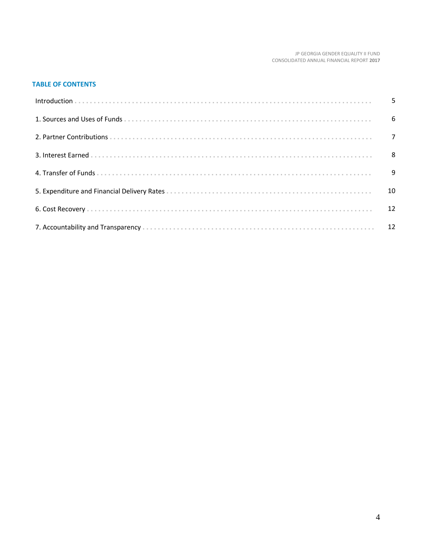#### JP GEORGIA GENDER EQUALITY II FUND CONSOLIDATED ANNUAL FINANCIAL REPORT **2017**

#### **TABLE OF CONTENTS**

| 10 |
|----|
|    |
|    |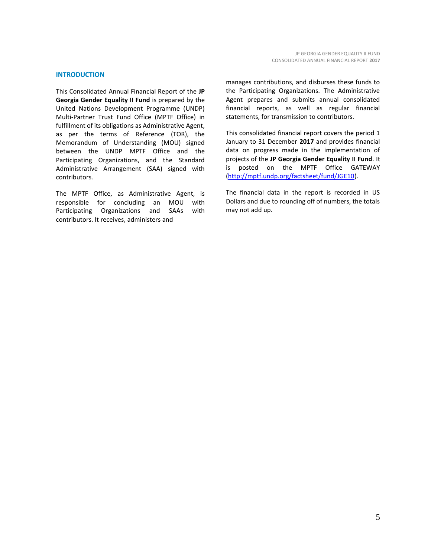#### **INTRODUCTION**

This Consolidated Annual Financial Report of the **JP Georgia Gender Equality II Fund** is prepared by the United Nations Development Programme (UNDP) Multi-Partner Trust Fund Office (MPTF Office) in fulfillment of its obligations as Administrative Agent, as per the terms of Reference (TOR), the Memorandum of Understanding (MOU) signed between the UNDP MPTF Office and the Participating Organizations, and the Standard Administrative Arrangement (SAA) signed with contributors.

The MPTF Office, as Administrative Agent, is responsible for concluding an MOU with Participating Organizations and SAAs with contributors. It receives, administers and

manages contributions, and disburses these funds to the Participating Organizations. The Administrative Agent prepares and submits annual consolidated financial reports, as well as regular financial statements, for transmission to contributors.

This consolidated financial report covers the period 1 January to 31 December **2017** and provides financial data on progress made in the implementation of projects of the **JP Georgia Gender Equality II Fund**. It is posted on the MPTF Office GATEWAY [\(http://mptf.undp.org/factsheet/fund/JGE10\)](http://mptf.undp.org/factsheet/fund/JGE10).

The financial data in the report is recorded in US Dollars and due to rounding off of numbers, the totals may not add up.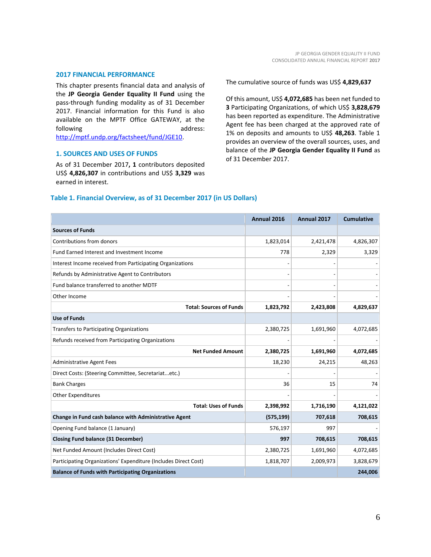#### **2017 FINANCIAL PERFORMANCE**

This chapter presents financial data and analysis of the **JP Georgia Gender Equality II Fund** using the pass-through funding modality as of 31 December 2017. Financial information for this Fund is also available on the MPTF Office GATEWAY, at the following address:

[http://mptf.undp.org/factsheet/fund/JGE10.](http://mptf.undp.org/factsheet/fund/JGE10)

#### **1. SOURCES AND USES OF FUNDS**

As of 31 December 2017**, 1** contributors deposited US\$ **4,826,307** in contributions and US\$ **3,329** was earned in interest.

#### The cumulative source of funds was US\$ **4,829,637**

Of this amount, US\$ **4,072,685** has been net funded to **3** Participating Organizations, of which US\$ **3,828,679** has been reported as expenditure. The Administrative Agent fee has been charged at the approved rate of 1% on deposits and amounts to US\$ **48,263**. Table 1 provides an overview of the overall sources, uses, and balance of the **JP Georgia Gender Equality II Fund** as of 31 December 2017.

#### **Table 1. Financial Overview, as of 31 December 2017 (in US Dollars)**

|                                                                 | Annual 2016 | Annual 2017 | <b>Cumulative</b> |
|-----------------------------------------------------------------|-------------|-------------|-------------------|
| <b>Sources of Funds</b>                                         |             |             |                   |
| Contributions from donors                                       | 1,823,014   | 2,421,478   | 4,826,307         |
| Fund Earned Interest and Investment Income                      | 778         | 2,329       | 3,329             |
| Interest Income received from Participating Organizations       |             |             |                   |
| Refunds by Administrative Agent to Contributors                 |             |             |                   |
| Fund balance transferred to another MDTF                        |             |             |                   |
| Other Income                                                    |             |             |                   |
| <b>Total: Sources of Funds</b>                                  | 1,823,792   | 2,423,808   | 4,829,637         |
| <b>Use of Funds</b>                                             |             |             |                   |
| Transfers to Participating Organizations                        | 2,380,725   | 1,691,960   | 4,072,685         |
| Refunds received from Participating Organizations               |             |             |                   |
| <b>Net Funded Amount</b>                                        | 2,380,725   | 1,691,960   | 4,072,685         |
| <b>Administrative Agent Fees</b>                                | 18,230      | 24,215      | 48,263            |
| Direct Costs: (Steering Committee, Secretariatetc.)             |             |             |                   |
| <b>Bank Charges</b>                                             | 36          | 15          | 74                |
| <b>Other Expenditures</b>                                       |             |             |                   |
| <b>Total: Uses of Funds</b>                                     | 2,398,992   | 1,716,190   | 4,121,022         |
| Change in Fund cash balance with Administrative Agent           | (575, 199)  | 707,618     | 708,615           |
| Opening Fund balance (1 January)                                | 576,197     | 997         |                   |
| <b>Closing Fund balance (31 December)</b>                       | 997         | 708,615     | 708,615           |
| Net Funded Amount (Includes Direct Cost)                        | 2,380,725   | 1,691,960   | 4,072,685         |
| Participating Organizations' Expenditure (Includes Direct Cost) | 1,818,707   | 2,009,973   | 3,828,679         |
| <b>Balance of Funds with Participating Organizations</b>        |             |             | 244,006           |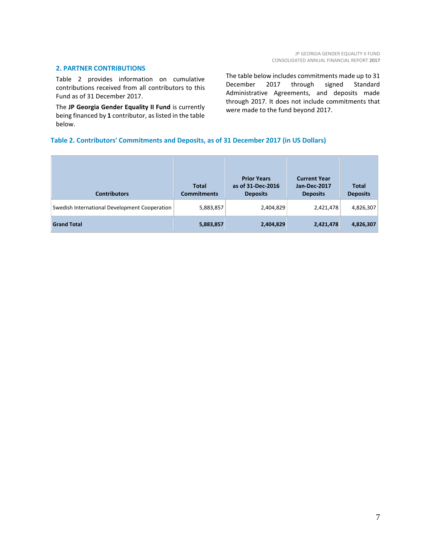#### **2. PARTNER CONTRIBUTIONS**

Table 2 provides information on cumulative contributions received from all contributors to this Fund as of 31 December 2017.

The **JP Georgia Gender Equality II Fund** is currently being financed by **1** contributor, as listed in the table below.

The table below includes commitments made up to 31 December 2017 through signed Standard Administrative Agreements, and deposits made through 2017. It does not include commitments that were made to the fund beyond 2017.

#### **Table 2. Contributors' Commitments and Deposits, as of 31 December 2017 (in US Dollars)**

| <b>Contributors</b>                           | <b>Total</b><br><b>Commitments</b> | <b>Prior Years</b><br>as of 31-Dec-2016<br><b>Deposits</b> | <b>Current Year</b><br>Jan-Dec-2017<br><b>Deposits</b> | <b>Total</b><br><b>Deposits</b> |
|-----------------------------------------------|------------------------------------|------------------------------------------------------------|--------------------------------------------------------|---------------------------------|
| Swedish International Development Cooperation | 5,883,857                          | 2,404,829                                                  | 2,421,478                                              | 4,826,307                       |
| <b>Grand Total</b>                            | 5,883,857                          | 2,404,829                                                  | 2,421,478                                              | 4,826,307                       |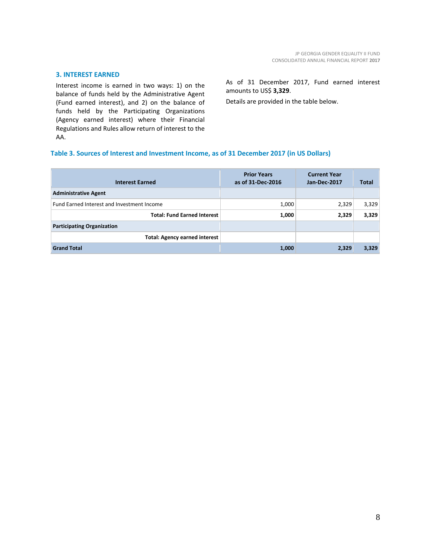#### **3. INTEREST EARNED**

Interest income is earned in two ways: 1) on the balance of funds held by the Administrative Agent (Fund earned interest), and 2) on the balance of funds held by the Participating Organizations (Agency earned interest) where their Financial Regulations and Rules allow return of interest to the AA.

#### As of 31 December 2017, Fund earned interest amounts to US\$ **3,329**.

Details are provided in the table below.

#### **Table 3. Sources of Interest and Investment Income, as of 31 December 2017 (in US Dollars)**

| <b>Interest Earned</b>                     | <b>Prior Years</b><br>as of 31-Dec-2016 | <b>Current Year</b><br>Jan-Dec-2017 | Total |
|--------------------------------------------|-----------------------------------------|-------------------------------------|-------|
| <b>Administrative Agent</b>                |                                         |                                     |       |
| Fund Earned Interest and Investment Income | 1,000                                   | 2,329                               | 3,329 |
| <b>Total: Fund Earned Interest</b>         | 1,000                                   | 2,329                               | 3,329 |
| <b>Participating Organization</b>          |                                         |                                     |       |
| <b>Total: Agency earned interest</b>       |                                         |                                     |       |
| <b>Grand Total</b>                         | 1,000                                   | 2,329                               | 3,329 |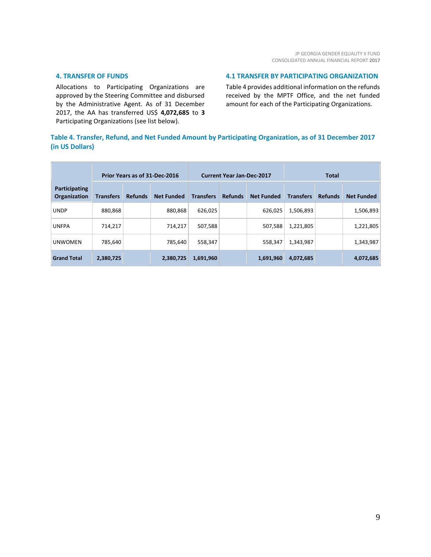#### **4. TRANSFER OF FUNDS**

Allocations to Participating Organizations are approved by the Steering Committee and disbursed by the Administrative Agent. As of 31 December 2017, the AA has transferred US\$ **4,072,685** to **3** Participating Organizations (see list below).

#### **4.1 TRANSFER BY PARTICIPATING ORGANIZATION**

Table 4 provides additional information on the refunds received by the MPTF Office, and the net funded amount for each of the Participating Organizations.

#### **Table 4. Transfer, Refund, and Net Funded Amount by Participating Organization, as of 31 December 2017 (in US Dollars)**

|                               | Prior Years as of 31-Dec-2016 |                |                   | <b>Current Year Jan-Dec-2017</b> |                |                   | <b>Total</b>     |                |                   |
|-------------------------------|-------------------------------|----------------|-------------------|----------------------------------|----------------|-------------------|------------------|----------------|-------------------|
| Participating<br>Organization | <b>Transfers</b>              | <b>Refunds</b> | <b>Net Funded</b> | <b>Transfers</b>                 | <b>Refunds</b> | <b>Net Funded</b> | <b>Transfers</b> | <b>Refunds</b> | <b>Net Funded</b> |
| <b>UNDP</b>                   | 880,868                       |                | 880,868           | 626,025                          |                | 626,025           | 1,506,893        |                | 1,506,893         |
| <b>UNFPA</b>                  | 714,217                       |                | 714,217           | 507,588                          |                | 507,588           | 1,221,805        |                | 1,221,805         |
| <b>UNWOMEN</b>                | 785,640                       |                | 785.640           | 558,347                          |                | 558,347           | 1,343,987        |                | 1,343,987         |
| <b>Grand Total</b>            | 2,380,725                     |                | 2,380,725         | 1,691,960                        |                | 1,691,960         | 4,072,685        |                | 4,072,685         |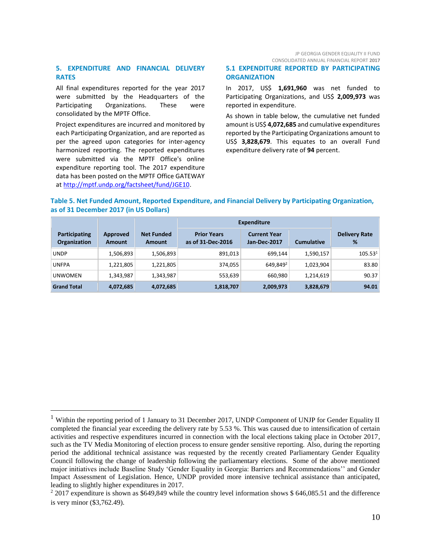#### JP GEORGIA GENDER EQUALITY II FUND CONSOLIDATED ANNUAL FINANCIAL REPORT **2017**

#### **5. EXPENDITURE AND FINANCIAL DELIVERY RATES**

All final expenditures reported for the year 2017 were submitted by the Headquarters of the Participating Organizations. These were consolidated by the MPTF Office.

Project expenditures are incurred and monitored by each Participating Organization, and are reported as per the agreed upon categories for inter-agency harmonized reporting. The reported expenditures were submitted via the MPTF Office's online expenditure reporting tool. The 2017 expenditure data has been posted on the MPTF Office GATEWAY at [http://mptf.undp.org/factsheet/fund/JGE10.](http://mptf.undp.org/factsheet/fund/JGE10) 

 $\overline{a}$ 

**5.1 EXPENDITURE REPORTED BY PARTICIPATING ORGANIZATION**

In 2017, US\$ **1,691,960** was net funded to Participating Organizations, and US\$ **2,009,973** was reported in expenditure.

As shown in table below, the cumulative net funded amount is US\$ **4,072,685** and cumulative expenditures reported by the Participating Organizations amount to US\$ **3,828,679**. This equates to an overall Fund expenditure delivery rate of **94** percent.

#### **Table 5. Net Funded Amount, Reported Expenditure, and Financial Delivery by Participating Organization, as of 31 December 2017 (in US Dollars)**

|                                      |                           |                                    |                                         | Expenditure                         |                   |                           |
|--------------------------------------|---------------------------|------------------------------------|-----------------------------------------|-------------------------------------|-------------------|---------------------------|
| Participating<br><b>Organization</b> | Approved<br><b>Amount</b> | <b>Net Funded</b><br><b>Amount</b> | <b>Prior Years</b><br>as of 31-Dec-2016 | <b>Current Year</b><br>Jan-Dec-2017 | <b>Cumulative</b> | <b>Delivery Rate</b><br>% |
| <b>UNDP</b>                          | 1,506,893                 | 1,506,893                          | 891,013                                 | 699,144                             | 1,590,157         | 105.53 <sup>1</sup>       |
| <b>UNFPA</b>                         | 1,221,805                 | 1,221,805                          | 374,055                                 | 649.8492                            | 1,023,904         | 83.80                     |
| <b>UNWOMEN</b>                       | 1,343,987                 | 1,343,987                          | 553,639                                 | 660,980                             | 1,214,619         | 90.37                     |
| <b>Grand Total</b>                   | 4,072,685                 | 4,072,685                          | 1,818,707                               | 2,009,973                           | 3,828,679         | 94.01                     |

<sup>&</sup>lt;sup>1</sup> Within the reporting period of 1 January to 31 December 2017, UNDP Component of UNJP for Gender Equality II completed the financial year exceeding the delivery rate by 5.53 %. This was caused due to intensification of certain activities and respective expenditures incurred in connection with the local elections taking place in October 2017, such as the TV Media Monitoring of election process to ensure gender sensitive reporting. Also, during the reporting period the additional technical assistance was requested by the recently created Parliamentary Gender Equality Council following the change of leadership following the parliamentary elections. Some of the above mentioned major initiatives include Baseline Study 'Gender Equality in Georgia: Barriers and Recommendations'' and Gender Impact Assessment of Legislation. Hence, UNDP provided more intensive technical assistance than anticipated, leading to slightly higher expenditures in 2017.

 $22017$  expenditure is shown as \$649,849 while the country level information shows \$ 646,085.51 and the difference is very minor (\$3,762.49).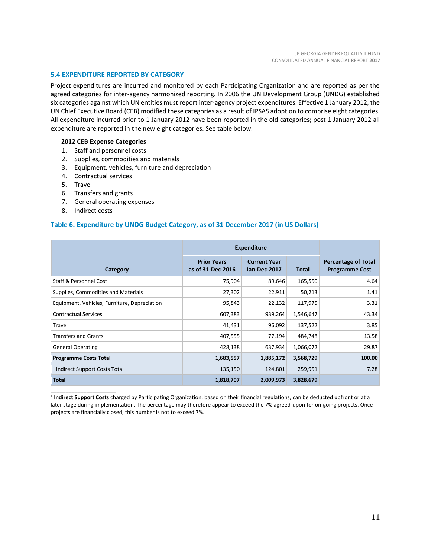#### **5.4 EXPENDITURE REPORTED BY CATEGORY**

Project expenditures are incurred and monitored by each Participating Organization and are reported as per the agreed categories for inter-agency harmonized reporting. In 2006 the UN Development Group (UNDG) established six categories against which UN entities must report inter-agency project expenditures. Effective 1 January 2012, the UN Chief Executive Board (CEB) modified these categories as a result of IPSAS adoption to comprise eight categories. All expenditure incurred prior to 1 January 2012 have been reported in the old categories; post 1 January 2012 all expenditure are reported in the new eight categories. See table below.

#### **2012 CEB Expense Categories**

- 1. Staff and personnel costs
- 2. Supplies, commodities and materials
- 3. Equipment, vehicles, furniture and depreciation
- 4. Contractual services
- 5. Travel
- 6. Transfers and grants
- 7. General operating expenses
- 8. Indirect costs

\_\_\_\_\_\_\_\_\_\_\_\_\_\_\_\_\_\_\_\_\_\_

#### **Table 6. Expenditure by UNDG Budget Category, as of 31 December 2017 (in US Dollars)**

|                                              | <b>Expenditure</b>                      |                                     |           |                                                     |
|----------------------------------------------|-----------------------------------------|-------------------------------------|-----------|-----------------------------------------------------|
| Category                                     | <b>Prior Years</b><br>as of 31-Dec-2016 | <b>Current Year</b><br>Jan-Dec-2017 | Total     | <b>Percentage of Total</b><br><b>Programme Cost</b> |
| Staff & Personnel Cost                       | 75,904                                  | 89,646                              | 165,550   | 4.64                                                |
| Supplies, Commodities and Materials          | 27,302                                  | 22,911                              | 50,213    | 1.41                                                |
| Equipment, Vehicles, Furniture, Depreciation | 95,843                                  | 22,132                              | 117,975   | 3.31                                                |
| <b>Contractual Services</b>                  | 607,383                                 | 939,264                             | 1,546,647 | 43.34                                               |
| Travel                                       | 41,431                                  | 96,092                              | 137,522   | 3.85                                                |
| <b>Transfers and Grants</b>                  | 407,555                                 | 77,194                              | 484,748   | 13.58                                               |
| <b>General Operating</b>                     | 428,138                                 | 637,934                             | 1,066,072 | 29.87                                               |
| <b>Programme Costs Total</b>                 | 1,683,557                               | 1,885,172                           | 3,568,729 | 100.00                                              |
| <sup>1</sup> Indirect Support Costs Total    | 135,150                                 | 124,801                             | 259,951   | 7.28                                                |
| <b>Total</b>                                 | 1,818,707                               | 2,009,973                           | 3,828,679 |                                                     |

**1 Indirect Support Costs** charged by Participating Organization, based on their financial regulations, can be deducted upfront or at a later stage during implementation. The percentage may therefore appear to exceed the 7% agreed-upon for on-going projects. Once projects are financially closed, this number is not to exceed 7%.